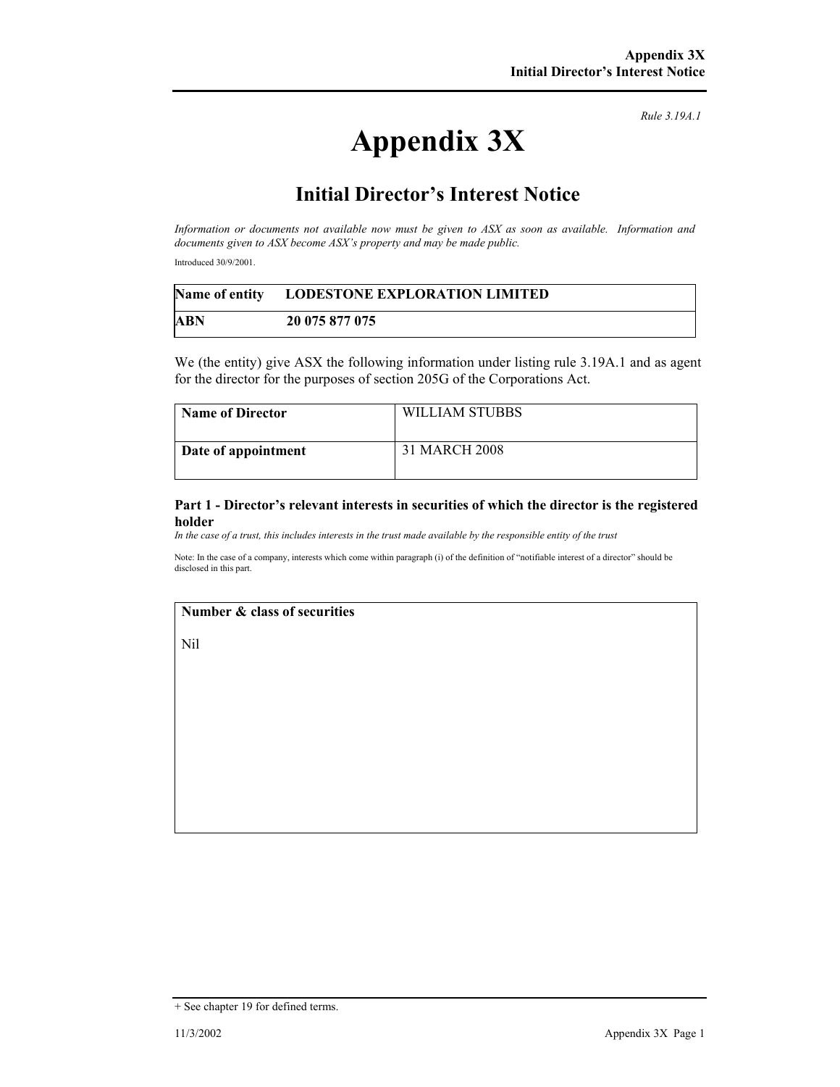*Rule 3.19A.1*

# **Appendix 3X**

## **Initial Director's Interest Notice**

*Information or documents not available now must be given to ASX as soon as available. Information and documents given to ASX become ASX's property and may be made public.* 

Introduced 30/9/2001.

|     | Name of entity LODESTONE EXPLORATION LIMITED |
|-----|----------------------------------------------|
| ABN | 20 075 877 075                               |

We (the entity) give ASX the following information under listing rule 3.19A.1 and as agent for the director for the purposes of section 205G of the Corporations Act.

| <b>Name of Director</b> | WILLIAM STUBBS |
|-------------------------|----------------|
| Date of appointment     | 31 MARCH 2008  |

#### **Part 1 - Director's relevant interests in securities of which the director is the registered holder**

*In the case of a trust, this includes interests in the trust made available by the responsible entity of the trust*

Note: In the case of a company, interests which come within paragraph (i) of the definition of "notifiable interest of a director" should be disclosed in this part.

#### **Number & class of securities**

Nil

<sup>+</sup> See chapter 19 for defined terms.